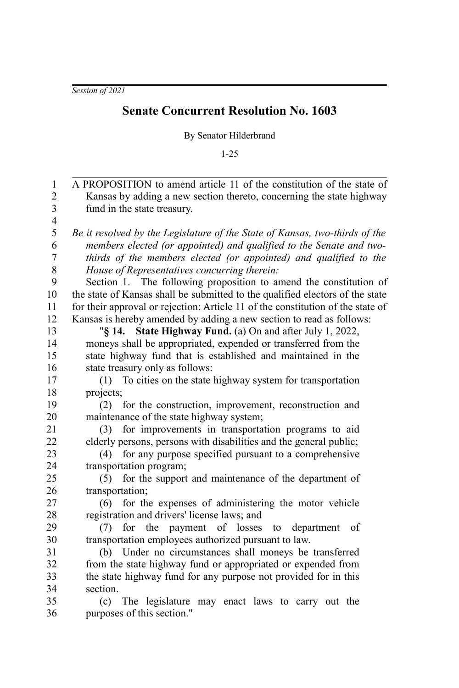*Session of 2021*

## **Senate Concurrent Resolution No. 1603**

By Senator Hilderbrand

1-25

| 1                       | A PROPOSITION to amend article 11 of the constitution of the state of           |
|-------------------------|---------------------------------------------------------------------------------|
| $\overline{c}$          | Kansas by adding a new section thereto, concerning the state highway            |
| $\overline{\mathbf{3}}$ | fund in the state treasury.                                                     |
| $\overline{4}$          |                                                                                 |
| 5                       | Be it resolved by the Legislature of the State of Kansas, two-thirds of the     |
| 6                       | members elected (or appointed) and qualified to the Senate and two-             |
| $\boldsymbol{7}$        | thirds of the members elected (or appointed) and qualified to the               |
| 8                       | House of Representatives concurring therein:                                    |
| 9                       | Section 1.<br>The following proposition to amend the constitution of            |
| 10                      | the state of Kansas shall be submitted to the qualified electors of the state   |
| 11                      | for their approval or rejection: Article 11 of the constitution of the state of |
| 12                      | Kansas is hereby amended by adding a new section to read as follows:            |
| 13                      | State Highway Fund. (a) On and after July 1, 2022,<br>$\sqrt{8}$ 14.            |
| 14                      | moneys shall be appropriated, expended or transferred from the                  |
| 15                      | state highway fund that is established and maintained in the                    |
| 16                      | state treasury only as follows:                                                 |
| 17                      | To cities on the state highway system for transportation<br>(1)                 |
| 18                      | projects;                                                                       |
| 19                      | for the construction, improvement, reconstruction and<br>(2)                    |
| 20                      | maintenance of the state highway system;                                        |
| 21                      | for improvements in transportation programs to aid<br>(3)                       |
| 22                      | elderly persons, persons with disabilities and the general public;              |
| 23                      | for any purpose specified pursuant to a comprehensive<br>(4)                    |
| 24                      | transportation program;                                                         |
| 25                      | for the support and maintenance of the department of<br>(5)                     |
| 26                      | transportation;                                                                 |
| 27                      | for the expenses of administering the motor vehicle<br>(6)                      |
| 28                      | registration and drivers' license laws; and                                     |
| 29                      | for the payment of losses<br>department<br>of<br>(7)<br>to                      |
| 30                      | transportation employees authorized pursuant to law.                            |
| 31                      | (b) Under no circumstances shall moneys be transferred                          |
| 32                      | from the state highway fund or appropriated or expended from                    |
| 33                      | the state highway fund for any purpose not provided for in this                 |
| 34                      | section.                                                                        |
| 35                      | The legislature may enact laws to carry out the<br>(c)                          |
| 36                      | purposes of this section."                                                      |